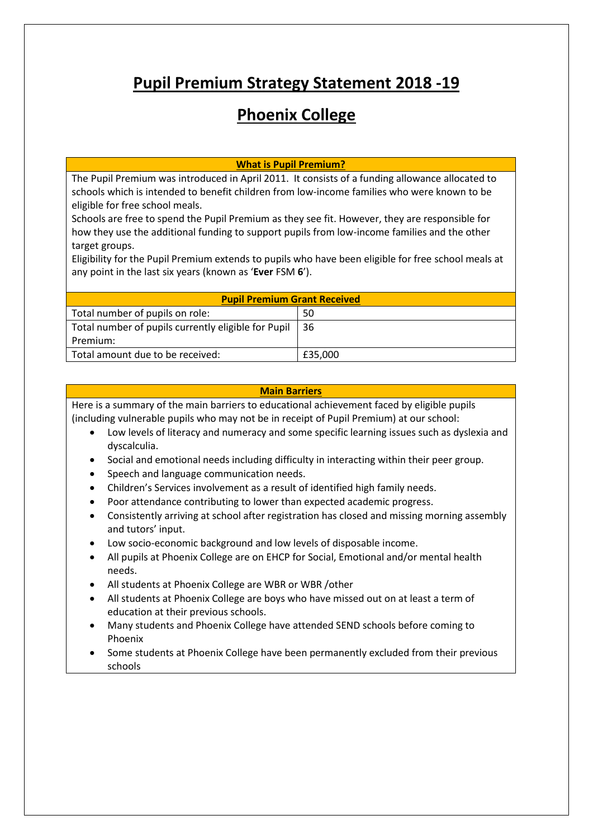# **Pupil Premium Strategy Statement 2018 -19**

# **Phoenix College**

**What is Pupil Premium?**

The Pupil Premium was introduced in April 2011. It consists of a funding allowance allocated to schools which is intended to benefit children from low-income families who were known to be eligible for free school meals.

Schools are free to spend the Pupil Premium as they see fit. However, they are responsible for how they use the additional funding to support pupils from low-income families and the other target groups.

Eligibility for the Pupil Premium extends to pupils who have been eligible for free school meals at any point in the last six years (known as '**Ever** FSM **6**').

| <b>Pupil Premium Grant Received</b>                 |         |  |  |
|-----------------------------------------------------|---------|--|--|
| Total number of pupils on role:                     | 50      |  |  |
| Total number of pupils currently eligible for Pupil | l 36    |  |  |
| Premium:                                            |         |  |  |
| Total amount due to be received:                    | £35,000 |  |  |

#### **Main Barriers**

Here is a summary of the main barriers to educational achievement faced by eligible pupils (including vulnerable pupils who may not be in receipt of Pupil Premium) at our school:

- Low levels of literacy and numeracy and some specific learning issues such as dyslexia and dyscalculia.
- Social and emotional needs including difficulty in interacting within their peer group.
- Speech and language communication needs.
- Children's Services involvement as a result of identified high family needs.
- Poor attendance contributing to lower than expected academic progress.
- Consistently arriving at school after registration has closed and missing morning assembly and tutors' input.
- Low socio-economic background and low levels of disposable income.
- All pupils at Phoenix College are on EHCP for Social, Emotional and/or mental health needs.
- All students at Phoenix College are WBR or WBR /other
- All students at Phoenix College are boys who have missed out on at least a term of education at their previous schools.
- Many students and Phoenix College have attended SEND schools before coming to Phoenix
- Some students at Phoenix College have been permanently excluded from their previous schools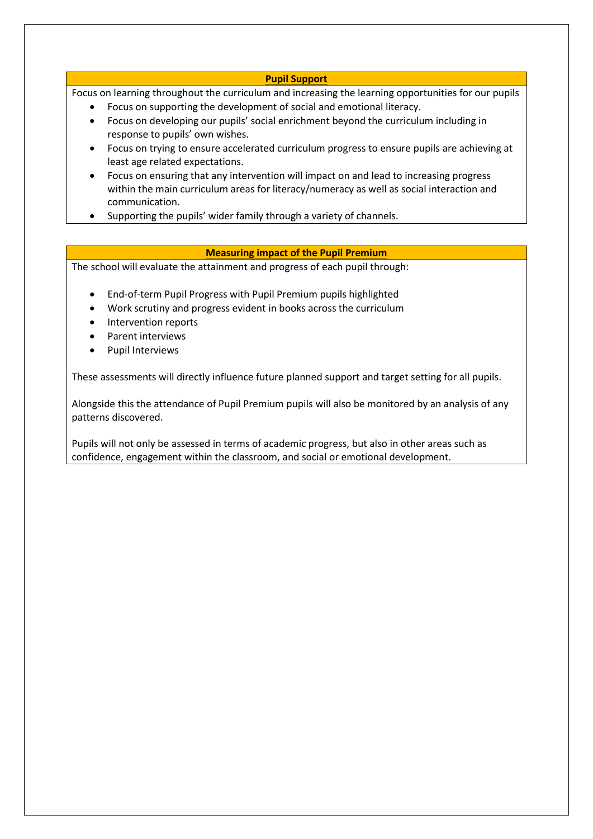#### **Pupil Support**

Focus on learning throughout the curriculum and increasing the learning opportunities for our pupils

- Focus on supporting the development of social and emotional literacy.
- Focus on developing our pupils' social enrichment beyond the curriculum including in response to pupils' own wishes.
- Focus on trying to ensure accelerated curriculum progress to ensure pupils are achieving at least age related expectations.
- Focus on ensuring that any intervention will impact on and lead to increasing progress within the main curriculum areas for literacy/numeracy as well as social interaction and communication.
- Supporting the pupils' wider family through a variety of channels.

# **Measuring impact of the Pupil Premium**

The school will evaluate the attainment and progress of each pupil through:

- End-of-term Pupil Progress with Pupil Premium pupils highlighted
- Work scrutiny and progress evident in books across the curriculum
- Intervention reports
- Parent interviews
- Pupil Interviews

These assessments will directly influence future planned support and target setting for all pupils.

Alongside this the attendance of Pupil Premium pupils will also be monitored by an analysis of any patterns discovered.

Pupils will not only be assessed in terms of academic progress, but also in other areas such as confidence, engagement within the classroom, and social or emotional development.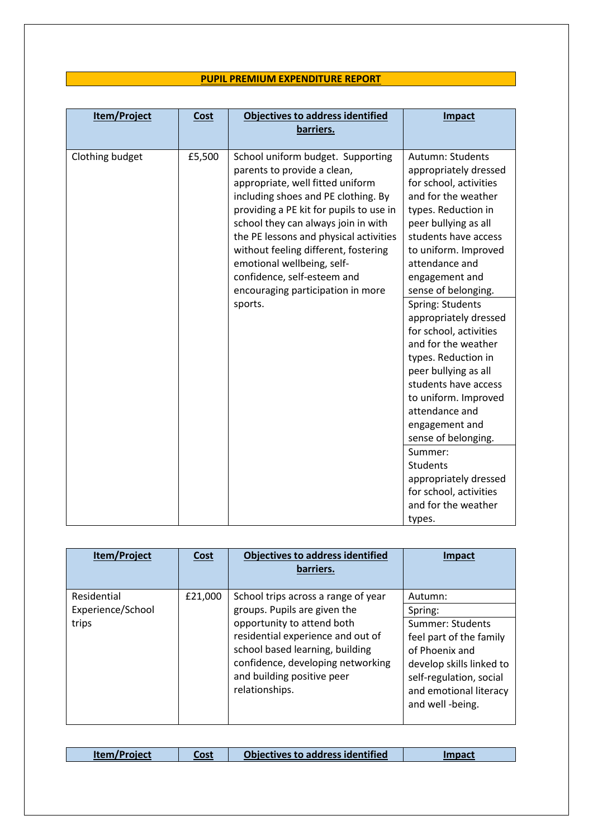# **PUPIL PREMIUM EXPENDITURE REPORT**

| Item/Project    | Cost   | <b>Objectives to address identified</b><br>barriers.                                                                                                                                                                                                                                                                                                                                                              | Impact                                                                                                                                                                                                                                               |
|-----------------|--------|-------------------------------------------------------------------------------------------------------------------------------------------------------------------------------------------------------------------------------------------------------------------------------------------------------------------------------------------------------------------------------------------------------------------|------------------------------------------------------------------------------------------------------------------------------------------------------------------------------------------------------------------------------------------------------|
| Clothing budget | £5,500 | School uniform budget. Supporting<br>parents to provide a clean,<br>appropriate, well fitted uniform<br>including shoes and PE clothing. By<br>providing a PE kit for pupils to use in<br>school they can always join in with<br>the PE lessons and physical activities<br>without feeling different, fostering<br>emotional wellbeing, self-<br>confidence, self-esteem and<br>encouraging participation in more | Autumn: Students<br>appropriately dressed<br>for school, activities<br>and for the weather<br>types. Reduction in<br>peer bullying as all<br>students have access<br>to uniform. Improved<br>attendance and<br>engagement and<br>sense of belonging. |
|                 |        | sports.                                                                                                                                                                                                                                                                                                                                                                                                           | Spring: Students<br>appropriately dressed<br>for school, activities<br>and for the weather<br>types. Reduction in<br>peer bullying as all<br>students have access<br>to uniform. Improved<br>attendance and<br>engagement and<br>sense of belonging. |
|                 |        |                                                                                                                                                                                                                                                                                                                                                                                                                   | Summer:<br><b>Students</b><br>appropriately dressed<br>for school, activities<br>and for the weather<br>types.                                                                                                                                       |

| <b>Item/Project</b>              | <b>Cost</b> | <b>Objectives to address identified</b><br>barriers.                                                                                                                                    | Impact                                                                                                                                                             |
|----------------------------------|-------------|-----------------------------------------------------------------------------------------------------------------------------------------------------------------------------------------|--------------------------------------------------------------------------------------------------------------------------------------------------------------------|
| Residential<br>Experience/School | £21,000     | School trips across a range of year<br>groups. Pupils are given the                                                                                                                     | Autumn:<br>Spring:                                                                                                                                                 |
| trips                            |             | opportunity to attend both<br>residential experience and out of<br>school based learning, building<br>confidence, developing networking<br>and building positive peer<br>relationships. | Summer: Students<br>feel part of the family<br>of Phoenix and<br>develop skills linked to<br>self-regulation, social<br>and emotional literacy<br>and well -being. |

| <b>Iter</b> | ne* | address identified<br>rives to l |  |
|-------------|-----|----------------------------------|--|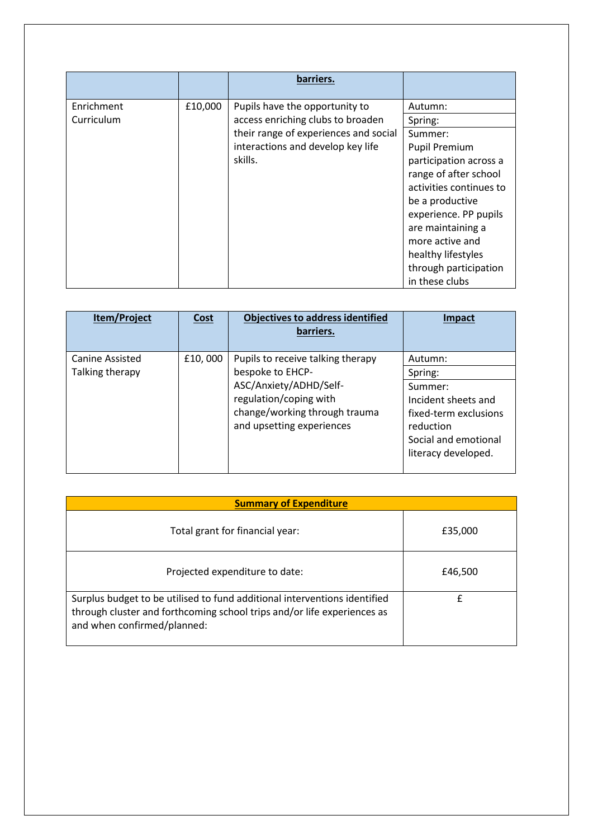|            |         | barriers.                             |                         |
|------------|---------|---------------------------------------|-------------------------|
| Enrichment | £10,000 | Pupils have the opportunity to        | Autumn:                 |
| Curriculum |         | access enriching clubs to broaden     | Spring:                 |
|            |         | their range of experiences and social | Summer:                 |
|            |         | interactions and develop key life     | <b>Pupil Premium</b>    |
|            |         | skills.                               | participation across a  |
|            |         |                                       | range of after school   |
|            |         |                                       | activities continues to |
|            |         |                                       | be a productive         |
|            |         |                                       | experience. PP pupils   |
|            |         |                                       | are maintaining a       |
|            |         |                                       | more active and         |
|            |         |                                       | healthy lifestyles      |
|            |         |                                       | through participation   |
|            |         |                                       | in these clubs          |

| Item/Project    | <b>Cost</b> | <b>Objectives to address identified</b><br>barriers.       | <b>Impact</b>                      |
|-----------------|-------------|------------------------------------------------------------|------------------------------------|
| Canine Assisted | £10,000     | Pupils to receive talking therapy                          | Autumn:                            |
| Talking therapy |             | bespoke to EHCP-                                           | Spring:                            |
|                 |             | ASC/Anxiety/ADHD/Self-                                     | Summer:                            |
|                 |             | regulation/coping with                                     | Incident sheets and                |
|                 |             | change/working through trauma<br>and upsetting experiences | fixed-term exclusions<br>reduction |
|                 |             |                                                            | Social and emotional               |
|                 |             |                                                            | literacy developed.                |

| <b>Summary of Expenditure</b>                                                                                                                                                       |         |  |  |
|-------------------------------------------------------------------------------------------------------------------------------------------------------------------------------------|---------|--|--|
| Total grant for financial year:                                                                                                                                                     | £35,000 |  |  |
| Projected expenditure to date:                                                                                                                                                      | £46,500 |  |  |
| Surplus budget to be utilised to fund additional interventions identified<br>through cluster and forthcoming school trips and/or life experiences as<br>and when confirmed/planned: | f       |  |  |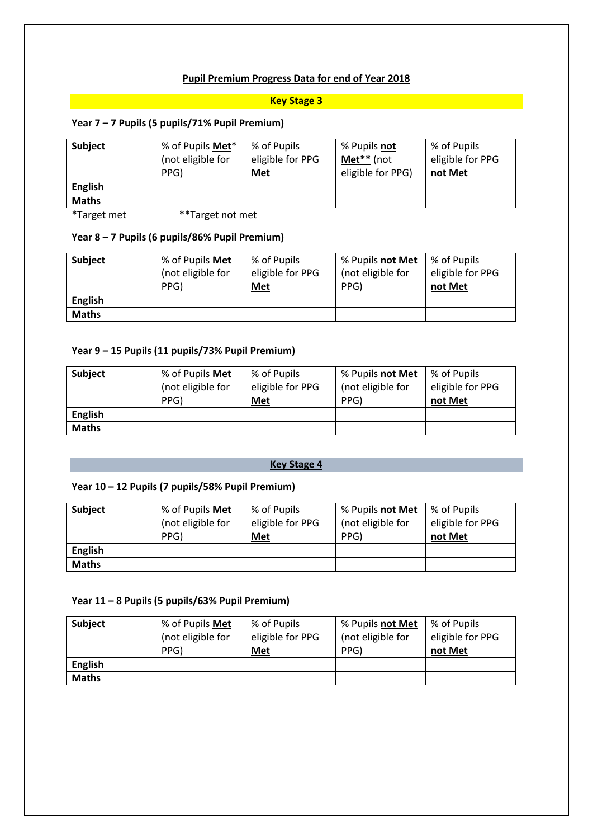# **Pupil Premium Progress Data for end of Year 2018**

#### **Key Stage 3**

# **Year 7 – 7 Pupils (5 pupils/71% Pupil Premium)**

| <b>Subject</b> | % of Pupils Met*<br>(not eligible for<br>PPG) | % of Pupils<br>eligible for PPG<br>Met | % Pupils not<br>Met** (not<br>eligible for PPG) | % of Pupils<br>eligible for PPG<br>not Met |
|----------------|-----------------------------------------------|----------------------------------------|-------------------------------------------------|--------------------------------------------|
| <b>English</b> |                                               |                                        |                                                 |                                            |
| <b>Maths</b>   |                                               |                                        |                                                 |                                            |

\*Target met \*\*Target not met

#### **Year 8 – 7 Pupils (6 pupils/86% Pupil Premium)**

| <b>Subject</b> | % of Pupils Met<br>(not eligible for<br>PPG) | % of Pupils<br>eligible for PPG<br>Met | % Pupils not Met<br>(not eligible for<br>PPG) | % of Pupils<br>eligible for PPG<br>not Met |
|----------------|----------------------------------------------|----------------------------------------|-----------------------------------------------|--------------------------------------------|
| <b>English</b> |                                              |                                        |                                               |                                            |
| <b>Maths</b>   |                                              |                                        |                                               |                                            |

#### **Year 9 – 15 Pupils (11 pupils/73% Pupil Premium)**

| <b>Subject</b> | % of Pupils Met<br>(not eligible for<br>PPG) | % of Pupils<br>eligible for PPG<br>Met | % Pupils not Met<br>(not eligible for<br>PPG) | % of Pupils<br>eligible for PPG<br>not Met |
|----------------|----------------------------------------------|----------------------------------------|-----------------------------------------------|--------------------------------------------|
| <b>English</b> |                                              |                                        |                                               |                                            |
| <b>Maths</b>   |                                              |                                        |                                               |                                            |

# **Key Stage 4**

# **Year 10 – 12 Pupils (7 pupils/58% Pupil Premium)**

| <b>Subject</b> | % of Pupils Met<br>(not eligible for<br>PPG) | % of Pupils<br>eligible for PPG<br>Met | % Pupils not Met<br>(not eligible for<br>PPG) | % of Pupils<br>eligible for PPG<br>not Met |
|----------------|----------------------------------------------|----------------------------------------|-----------------------------------------------|--------------------------------------------|
| <b>English</b> |                                              |                                        |                                               |                                            |
| <b>Maths</b>   |                                              |                                        |                                               |                                            |

# **Year 11 – 8 Pupils (5 pupils/63% Pupil Premium)**

| <b>Subject</b> | % of Pupils Met<br>(not eligible for<br>PPG) | % of Pupils<br>eligible for PPG<br>Met | % Pupils not Met<br>(not eligible for<br>PPG) | % of Pupils<br>eligible for PPG<br>not Met |
|----------------|----------------------------------------------|----------------------------------------|-----------------------------------------------|--------------------------------------------|
| <b>English</b> |                                              |                                        |                                               |                                            |
| <b>Maths</b>   |                                              |                                        |                                               |                                            |